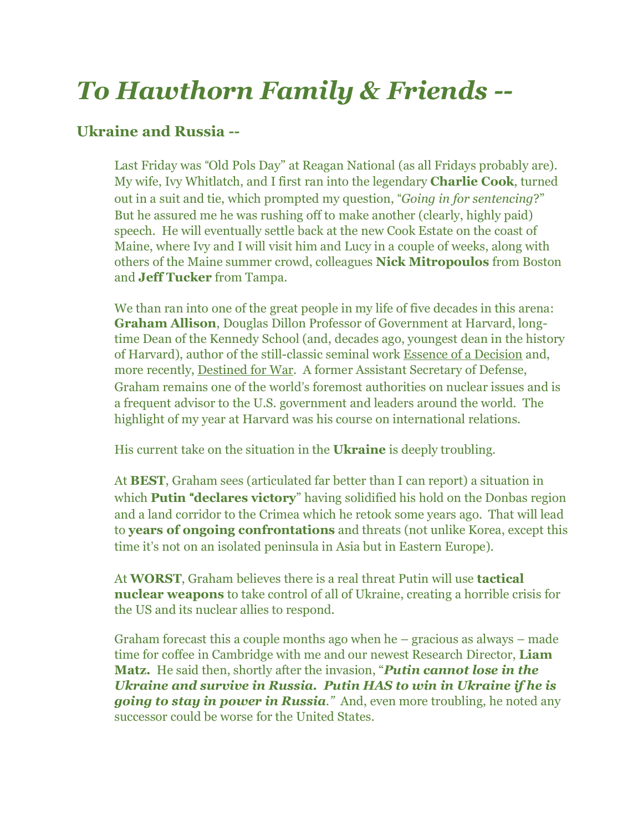## *To Hawthorn Family & Friends --*

## **Ukraine and Russia --**

Last Friday was "Old Pols Day" at Reagan National (as all Fridays probably are). My wife, Ivy Whitlatch, and I first ran into the legendary **Charlie Cook**, turned out in a suit and tie, which prompted my question, !*Going in for sentencing*?" But he assured me he was rushing off to make another (clearly, highly paid) speech. He will eventually settle back at the new Cook Estate on the coast of Maine, where Ivy and I will visit him and Lucy in a couple of weeks, along with others of the Maine summer crowd, colleagues **Nick Mitropoulos** from Boston and **Jeff Tucker** from Tampa.

We than ran into one of the great people in my life of five decades in this arena: **Graham Allison**, Douglas Dillon Professor of Government at Harvard, longtime Dean of the Kennedy School (and, decades ago, youngest dean in the history of Harvard), author of the still-classic seminal work Essence of a Decision and, more recently, Destined for War. A former Assistant Secretary of Defense, Graham remains one of the world"s foremost authorities on nuclear issues and is a frequent advisor to the U.S. government and leaders around the world. The highlight of my year at Harvard was his course on international relations.

His current take on the situation in the **Ukraine** is deeply troubling.

At **BEST**, Graham sees (articulated far better than I can report) a situation in which **Putin** "**declares victory**" having solidified his hold on the Donbas region and a land corridor to the Crimea which he retook some years ago. That will lead to **years of ongoing confrontations** and threats (not unlike Korea, except this time it's not on an isolated peninsula in Asia but in Eastern Europe).

At **WORST**, Graham believes there is a real threat Putin will use **tactical nuclear weapons** to take control of all of Ukraine, creating a horrible crisis for the US and its nuclear allies to respond.

Graham forecast this a couple months ago when he – gracious as always – made time for coffee in Cambridge with me and our newest Research Director, **Liam Matz.** He said then, shortly after the invasion, "*Putin cannot lose in the Ukraine and survive in Russia. Putin HAS to win in Ukraine if he is going to stay in power in Russia."* And, even more troubling, he noted any successor could be worse for the United States.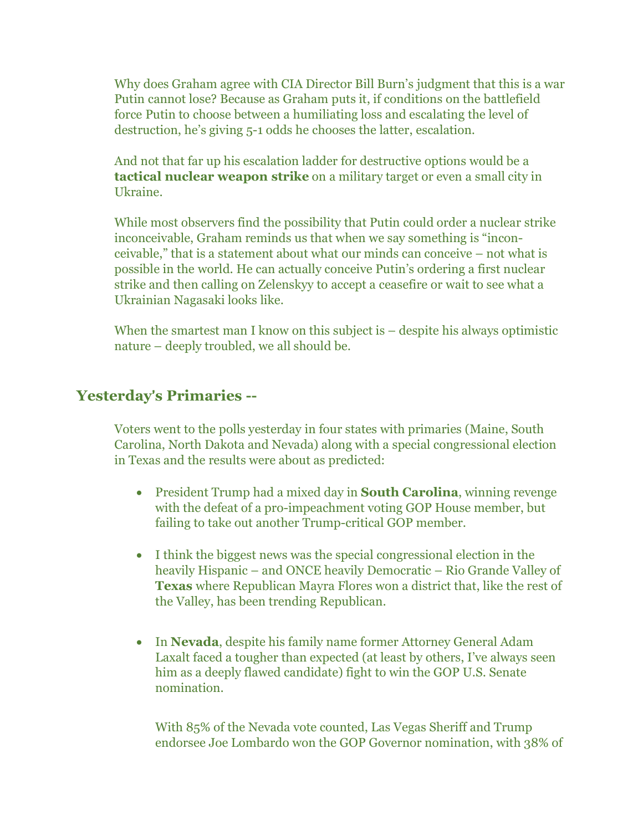Why does Graham agree with CIA Director Bill Burn's judgment that this is a war Putin cannot lose? Because as Graham puts it, if conditions on the battlefield force Putin to choose between a humiliating loss and escalating the level of destruction, he's giving 5-1 odds he chooses the latter, escalation.

And not that far up his escalation ladder for destructive options would be a **tactical nuclear weapon strike** on a military target or even a small city in Ukraine.

While most observers find the possibility that Putin could order a nuclear strike inconceivable, Graham reminds us that when we say something is "inconceivable," that is a statement about what our minds can conceive – not what is possible in the world. He can actually conceive Putin's ordering a first nuclear strike and then calling on Zelenskyy to accept a ceasefire or wait to see what a Ukrainian Nagasaki looks like.

When the smartest man I know on this subject is – despite his always optimistic nature – deeply troubled, we all should be.

## **Yesterday**!**s Primaries --**

Voters went to the polls yesterday in four states with primaries (Maine, South Carolina, North Dakota and Nevada) along with a special congressional election in Texas and the results were about as predicted:

- President Trump had a mixed day in **South Carolina**, winning revenge with the defeat of a pro-impeachment voting GOP House member, but failing to take out another Trump-critical GOP member.
- I think the biggest news was the special congressional election in the heavily Hispanic – and ONCE heavily Democratic – Rio Grande Valley of **Texas** where Republican Mayra Flores won a district that, like the rest of the Valley, has been trending Republican.
- In **Nevada**, despite his family name former Attorney General Adam Laxalt faced a tougher than expected (at least by others, I've always seen him as a deeply flawed candidate) fight to win the GOP U.S. Senate nomination.

With 85% of the Nevada vote counted, Las Vegas Sheriff and Trump endorsee Joe Lombardo won the GOP Governor nomination, with 38% of